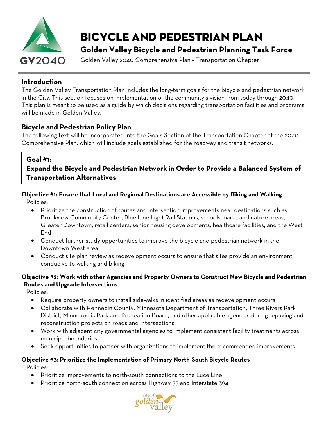

# Bicycle and pedestrian plan

**Golden Valley Bicycle and Pedestrian Planning Task Force**

Golden Valley 2040 Comprehensive Plan – Transportation Chapter

## **Introduction**

The Golden Valley Transportation Plan includes the long-term goals for the bicycle and pedestrian network in the City. This section focuses on implementation of the community's vision from today through 2040. This plan is meant to be used as a guide by which decisions regarding transportation facilities and programs will be made in Golden Valley.

### **Bicycle and Pedestrian Policy Plan**

The following text will be incorporated into the Goals Section of the Transportation Chapter of the 2040 Comprehensive Plan, which will include goals established for the roadway and transit networks.

#### **Goal #1:**

## **Expand the Bicycle and Pedestrian Network in Order to Provide a Balanced System of Transportation Alternatives**

## **Objective #1: Ensure that Local and Regional Destinations are Accessible by Biking and Walking**

Policies:

- Prioritize the construction of routes and intersection improvements near destinations such as Brookview Community Center, Blue Line Light Rail Stations, schools, parks and nature areas, Greater Downtown, retail centers, senior housing developments, healthcare facilities, and the West End
- Conduct further study opportunities to improve the bicycle and pedestrian network in the Downtown West area
- Conduct site plan review as redevelopment occurs to ensure that sites provide an environment conducive to walking and biking

#### **Objective #2: Work with other Agencies and Property Owners to Construct New Bicycle and Pedestrian Routes and Upgrade Intersections**

Policies:

- Require property owners to install sidewalks in identified areas as redevelopment occurs
- Collaborate with Hennepin County, Minnesota Department of Transportation, Three Rivers Park District, Minneapolis Park and Recreation Board, and other applicable agencies during repaving and reconstruction projects on roads and intersections
- Work with adjacent city governmental agencies to implement consistent facility treatments across municipal boundaries
- Seek opportunities to partner with organizations to implement the recommended improvements

## **Objective #3: Prioritize the Implementation of Primary North-South Bicycle Routes**

Policies:

- Prioritize improvements to north-south connections to the Luce Line
- Prioritize north-south connection across Highway 55 and Interstate 394

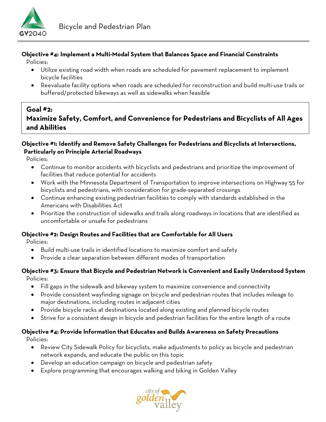

#### **Objective #4: Implement a Multi-Modal System that Balances Space and Financial Constraints**

Policies:

- Utilize existing road width when roads are scheduled for pavement replacement to implement bicycle facilities
- Reevaluate facility options when roads are scheduled for reconstruction and build multi-use trails or buffered/protected bikeways as well as sidewalks when feasible

## **Goal #2: Maximize Safety, Comfort, and Convenience for Pedestrians and Bicyclists of All Ages and Abilities**

#### **Objective #1: Identify and Remove Safety Challenges for Pedestrians and Bicyclists at Intersections, Particularly on Principle Arterial Roadways**

Policies:

- Continue to monitor accidents with bicyclists and pedestrians and prioritize the improvement of facilities that reduce potential for accidents
- Work with the Minnesota Department of Transportation to improve intersections on Highway 55 for bicyclists and pedestrians, with consideration for grade-separated crossings
- Continue enhancing existing pedestrian facilities to comply with standards established in the Americans with Disabilities Act
- Prioritize the construction of sidewalks and trails along roadways in locations that are identified as uncomfortable or unsafe for pedestrians

#### **Objective #2: Design Routes and Facilities that are Comfortable for All Users**

Policies:

- Build multi-use trails in identified locations to maximize comfort and safety
- Provide a clear separation between different modes of transportation

## **Objective #3: Ensure that Bicycle and Pedestrian Network is Convenient and Easily Understood System**

Policies:

- Fill gaps in the sidewalk and bikeway system to maximize convenience and connectivity
- Provide consistent wayfinding signage on bicycle and pedestrian routes that includes mileage to major destinations, including routes in adjacent cities
- Provide bicycle racks at destinations located along existing and planned bicycle routes
- Strive for a consistent design in bicycle and pedestrian facilities for the entire length of a route

#### **Objective #4: Provide Information that Educates and Builds Awareness on Safety Precautions**

Policies:

- Review City Sidewalk Policy for bicyclists, make adjustments to policy as bicycle and pedestrian network expands, and educate the public on this topic
- Develop an education campaign on bicycle and pedestrian safety
- Explore programming that encourages walking and biking in Golden Valley

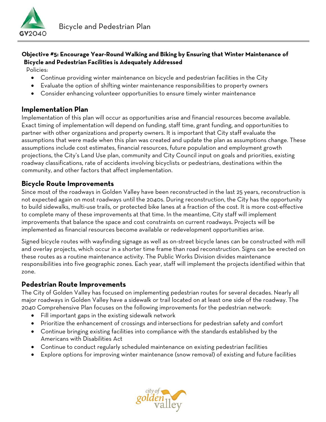

#### **Objective #5: Encourage Year-Round Walking and Biking by Ensuring that Winter Maintenance of Bicycle and Pedestrian Facilities is Adequately Addressed**

Policies:

- Continue providing winter maintenance on bicycle and pedestrian facilities in the City
- Evaluate the option of shifting winter maintenance responsibilities to property owners
- Consider enhancing volunteer opportunities to ensure timely winter maintenance

#### **Implementation Plan**

Implementation of this plan will occur as opportunities arise and financial resources become available. Exact timing of implementation will depend on funding, staff time, grant funding, and opportunities to partner with other organizations and property owners. It is important that City staff evaluate the assumptions that were made when this plan was created and update the plan as assumptions change. These assumptions include cost estimates, financial resources, future population and employment growth projections, the City's Land Use plan, community and City Council input on goals and priorities, existing roadway classifications, rate of accidents involving bicyclists or pedestrians, destinations within the community, and other factors that affect implementation.

#### **Bicycle Route Improvements**

Since most of the roadways in Golden Valley have been reconstructed in the last 25 years, reconstruction is not expected again on most roadways until the 2040s. During reconstruction, the City has the opportunity to build sidewalks, multi-use trails, or protected bike lanes at a fraction of the cost. It is more cost-effective to complete many of these improvements at that time. In the meantime, City staff will implement improvements that balance the space and cost constraints on current roadways. Projects will be implemented as financial resources become available or redevelopment opportunities arise.

Signed bicycle routes with wayfinding signage as well as on-street bicycle lanes can be constructed with mill and overlay projects, which occur in a shorter time frame than road reconstruction. Signs can be erected on these routes as a routine maintenance activity. The Public Works Division divides maintenance responsibilities into five geographic zones. Each year, staff will implement the projects identified within that zone.

#### **Pedestrian Route Improvements**

The City of Golden Valley has focused on implementing pedestrian routes for several decades. Nearly all major roadways in Golden Valley have a sidewalk or trail located on at least one side of the roadway. The 2040 Comprehensive Plan focuses on the following improvements for the pedestrian network:

- Fill important gaps in the existing sidewalk network
- Prioritize the enhancement of crossings and intersections for pedestrian safety and comfort
- Continue bringing existing facilities into compliance with the standards established by the Americans with Disabilities Act
- Continue to conduct regularly scheduled maintenance on existing pedestrian facilities
- Explore options for improving winter maintenance (snow removal) of existing and future facilities

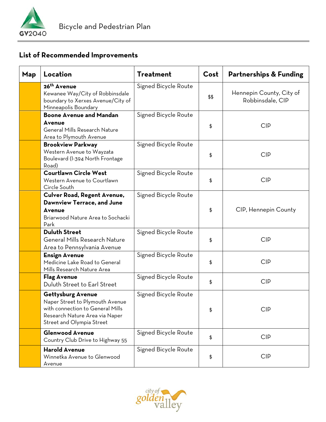

## **List of Recommended Improvements**

| Map | Location                                                                                                                                                       | <b>Treatment</b>     | Cost | <b>Partnerships &amp; Funding</b>            |
|-----|----------------------------------------------------------------------------------------------------------------------------------------------------------------|----------------------|------|----------------------------------------------|
|     | 26 <sup>th</sup> Avenue<br>Kewanee Way/City of Robbinsdale<br>boundary to Xerxes Avenue/City of<br>Minneapolis Boundary                                        | Signed Bicycle Route | \$\$ | Hennepin County, City of<br>Robbinsdale, CIP |
|     | <b>Boone Avenue and Mandan</b><br>Avenue<br>General Mills Research Nature<br>Area to Plymouth Avenue                                                           | Signed Bicycle Route | \$   | <b>CIP</b>                                   |
|     | <b>Brookview Parkway</b><br>Western Avenue to Wayzata<br>Boulevard (I-394 North Frontage<br>Road)                                                              | Signed Bicycle Route | \$   | <b>CIP</b>                                   |
|     | <b>Courtlawn Circle West</b><br>Western Avenue to Courtlawn<br>Circle South                                                                                    | Signed Bicycle Route | \$   | <b>CIP</b>                                   |
|     | <b>Culver Road, Regent Avenue,</b><br><b>Dawnview Terrace, and June</b><br><b>Avenue</b><br>Briarwood Nature Area to Sochacki<br>Park                          | Signed Bicycle Route | \$   | CIP, Hennepin County                         |
|     | <b>Duluth Street</b><br><b>General Mills Research Nature</b><br>Area to Pennsylvania Avenue                                                                    | Signed Bicycle Route | \$   | <b>CIP</b>                                   |
|     | <b>Ensign Avenue</b><br>Medicine Lake Road to General<br>Mills Research Nature Area                                                                            | Signed Bicycle Route | \$   | <b>CIP</b>                                   |
|     | <b>Flag Avenue</b><br>Duluth Street to Earl Street                                                                                                             | Signed Bicycle Route | \$   | <b>CIP</b>                                   |
|     | <b>Gettysburg Avenue</b><br>Naper Street to Plymouth Avenue<br>with connection to General Mills<br>Research Nature Area via Naper<br>Street and Olympia Street | Signed Bicycle Route | \$   | <b>CIP</b>                                   |
|     | <b>Glenwood Avenue</b><br>Country Club Drive to Highway 55                                                                                                     | Signed Bicycle Route | \$   | <b>CIP</b>                                   |
|     | <b>Harold Avenue</b><br>Winnetka Avenue to Glenwood<br>Avenue                                                                                                  | Signed Bicycle Route | \$   | <b>CIP</b>                                   |

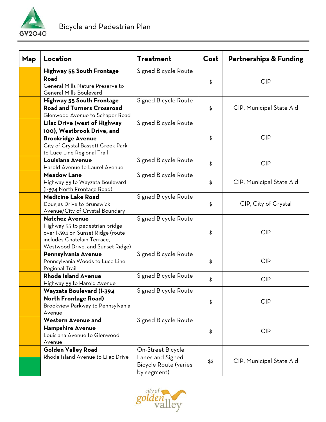

| Map | Location                                                                                                                                                          | Treatment                                                                            | Cost | <b>Partnerships &amp; Funding</b> |
|-----|-------------------------------------------------------------------------------------------------------------------------------------------------------------------|--------------------------------------------------------------------------------------|------|-----------------------------------|
|     | <b>Highway 55 South Frontage</b><br>Road<br>General Mills Nature Preserve to<br><b>General Mills Boulevard</b>                                                    | Signed Bicycle Route                                                                 | \$   | <b>CIP</b>                        |
|     | Highway 55 South Frontage<br><b>Road and Turners Crossroad</b><br>Glenwood Avenue to Schaper Road                                                                 | Signed Bicycle Route                                                                 | \$   | CIP, Municipal State Aid          |
|     | Lilac Drive (west of Highway<br>100), Westbrook Drive, and<br><b>Brookridge Avenue</b><br>City of Crystal Bassett Creek Park<br>to Luce Line Regional Trail       | Signed Bicycle Route                                                                 | \$   | <b>CIP</b>                        |
|     | Louisiana Avenue<br>Harold Avenue to Laurel Avenue                                                                                                                | Signed Bicycle Route                                                                 | \$   | <b>CIP</b>                        |
|     | <b>Meadow Lane</b><br>Highway 55 to Wayzata Boulevard<br>(I-394 North Frontage Road)                                                                              | Signed Bicycle Route                                                                 | \$   | CIP, Municipal State Aid          |
|     | <b>Medicine Lake Road</b><br>Douglas Drive to Brunswick<br>Avenue/City of Crystal Boundary                                                                        | Signed Bicycle Route                                                                 | \$   | CIP, City of Crystal              |
|     | <b>Natchez Avenue</b><br>Highway 55 to pedestrian bridge<br>over I-394 on Sunset Ridge (route<br>includes Chatelain Terrace.<br>Westwood Drive, and Sunset Ridge) | Signed Bicycle Route                                                                 | \$   | <b>CIP</b>                        |
|     | Pennsylvania Avenue<br>Pennsylvania Woods to Luce Line<br>Regional Trail                                                                                          | Signed Bicycle Route                                                                 | \$   | <b>CIP</b>                        |
|     | <b>Rhode Island Avenue</b><br>Highway 55 to Harold Avenue                                                                                                         | Signed Bicycle Route                                                                 | \$   | <b>CIP</b>                        |
|     | Wayzata Boulevard (I-394<br><b>North Frontage Road)</b><br>Brookview Parkway to Pennsylvania<br>Avenue                                                            | Signed Bicycle Route                                                                 | \$   | <b>CIP</b>                        |
|     | <b>Western Avenue and</b><br><b>Hampshire Avenue</b><br>Louisiana Avenue to Glenwood<br>Avenue                                                                    | Signed Bicycle Route                                                                 | \$   | <b>CIP</b>                        |
|     | <b>Golden Valley Road</b><br>Rhode Island Avenue to Lilac Drive                                                                                                   | On-Street Bicycle<br>Lanes and Signed<br><b>Bicycle Route (varies</b><br>by segment) | \$\$ | CIP, Municipal State Aid          |

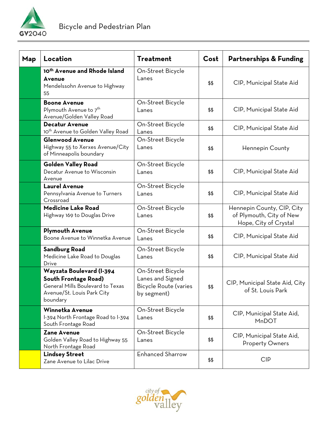

| <b>Map</b> | Location                                                                                                                              | <b>Treatment</b>                                                                     | Cost | <b>Partnerships &amp; Funding</b>                                               |
|------------|---------------------------------------------------------------------------------------------------------------------------------------|--------------------------------------------------------------------------------------|------|---------------------------------------------------------------------------------|
|            | 10 <sup>th</sup> Avenue and Rhode Island<br>Avenue<br>Mendelssohn Avenue to Highway<br>55                                             | On-Street Bicycle<br>Lanes                                                           | \$\$ | CIP, Municipal State Aid                                                        |
|            | <b>Boone Avenue</b><br>Plymouth Avenue to 7 <sup>th</sup><br>Avenue/Golden Valley Road                                                | On-Street Bicycle<br>Lanes                                                           | \$\$ | CIP, Municipal State Aid                                                        |
|            | <b>Decatur Avenue</b><br>10 <sup>th</sup> Avenue to Golden Valley Road                                                                | On-Street Bicycle<br>Lanes                                                           | \$\$ | CIP, Municipal State Aid                                                        |
|            | <b>Glenwood Avenue</b><br>Highway 55 to Xerxes Avenue/City<br>of Minneapolis boundary                                                 | On-Street Bicycle<br>Lanes                                                           | \$\$ | Hennepin County                                                                 |
|            | <b>Golden Valley Road</b><br>Decatur Avenue to Wisconsin<br>Avenue                                                                    | On-Street Bicycle<br>Lanes                                                           | \$\$ | CIP, Municipal State Aid                                                        |
|            | <b>Laurel Avenue</b><br>Pennsylvania Avenue to Turners<br>Crossroad                                                                   | On-Street Bicycle<br>Lanes                                                           | \$\$ | CIP, Municipal State Aid                                                        |
|            | <b>Medicine Lake Road</b><br>Highway 169 to Douglas Drive                                                                             | On-Street Bicycle<br>Lanes                                                           | \$\$ | Hennepin County, CIP, City<br>of Plymouth, City of New<br>Hope, City of Crystal |
|            | <b>Plymouth Avenue</b><br>Boone Avenue to Winnetka Avenue                                                                             | On-Street Bicycle<br>Lanes                                                           | \$\$ | CIP, Municipal State Aid                                                        |
|            | <b>Sandburg Road</b><br>Medicine Lake Road to Douglas<br>Drive                                                                        | On-Street Bicycle<br>Lanes                                                           | \$\$ | CIP, Municipal State Aid                                                        |
|            | Wayzata Boulevard (I-394<br><b>South Frontage Road)</b><br>General Mills Boulevard to Texas<br>Avenue/St. Louis Park City<br>boundary | On-Street Bicycle<br>Lanes and Signed<br><b>Bicycle Route (varies</b><br>by segment) | \$\$ | CIP, Municipal State Aid, City<br>of St. Louis Park                             |
|            | Winnetka Avenue<br>I-394 North Frontage Road to I-394<br>South Frontage Road                                                          | On-Street Bicycle<br>Lanes                                                           | \$\$ | CIP, Municipal State Aid,<br>MnDOT                                              |
|            | <b>Zane Avenue</b><br>Golden Valley Road to Highway 55<br>North Frontage Road                                                         | On-Street Bicycle<br>Lanes                                                           | \$\$ | CIP, Municipal State Aid,<br><b>Property Owners</b>                             |
|            | <b>Lindsey Street</b><br>Zane Avenue to Lilac Drive                                                                                   | Enhanced Sharrow                                                                     | \$\$ | <b>CIP</b>                                                                      |

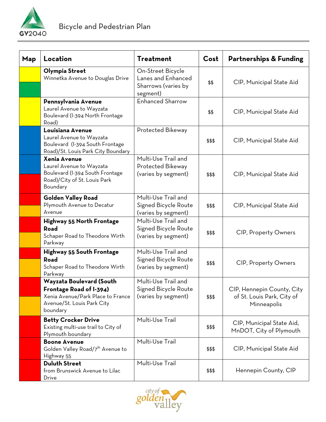

| Map | Location                                                                                                                           | <b>Treatment</b>                                                           | Cost   | <b>Partnerships &amp; Funding</b>                                       |
|-----|------------------------------------------------------------------------------------------------------------------------------------|----------------------------------------------------------------------------|--------|-------------------------------------------------------------------------|
|     | Olympia Street<br>Winnetka Avenue to Douglas Drive                                                                                 | On-Street Bicycle<br>Lanes and Enhanced<br>Sharrows (varies by<br>segment) | \$\$   | CIP, Municipal State Aid                                                |
|     | Pennsylvania Avenue<br>Laurel Avenue to Wayzata<br>Boulevard (I-394 North Frontage<br>Road)                                        | <b>Enhanced Sharrow</b>                                                    | \$\$   | CIP, Municipal State Aid                                                |
|     | Louisiana Avenue<br>Laurel Avenue to Wayzata<br>Boulevard (I-394 South Frontage<br>Road)/St. Louis Park City Boundary              | Protected Bikeway                                                          | \$\$\$ | CIP, Municipal State Aid                                                |
|     | Xenia Avenue<br>Laurel Avenue to Wayzata<br>Boulevard (I-394 South Frontage<br>Road)/City of St. Louis Park<br>Boundary            | Multi-Use Trail and<br>Protected Bikeway<br>(varies by segment)            | \$\$\$ | CIP, Municipal State Aid                                                |
|     | <b>Golden Valley Road</b><br>Plymouth Avenue to Decatur<br>Avenue                                                                  | Multi-Use Trail and<br>Signed Bicycle Route<br>(varies by segment)         | \$\$\$ | CIP, Municipal State Aid                                                |
|     | Highway 55 North Frontage<br>Road<br>Schaper Road to Theodore Wirth<br>Parkway                                                     | Multi-Use Trail and<br>Signed Bicycle Route<br>(varies by segment)         | \$\$\$ | <b>CIP, Property Owners</b>                                             |
|     | Highway 55 South Frontage<br>Road<br>Schaper Road to Theodore Wirth<br>Parkway                                                     | Multi-Use Trail and<br>Signed Bicycle Route<br>(varies by segment)         | \$\$\$ | <b>CIP, Property Owners</b>                                             |
|     | Wayzata Boulevard (South<br>Frontage Road of I-394)<br>Xenia Avenue/Park Place to France<br>Avenue/St. Louis Park City<br>boundary | Multi-Use Trail and<br>Signed Bicycle Route<br>(varies by segment)         | \$\$\$ | CIP, Hennepin County, City<br>of St. Louis Park, City of<br>Minneapolis |
|     | <b>Betty Crocker Drive</b><br>Existing multi-use trail to City of<br>Plymouth boundary                                             | Multi-Use Trail                                                            | \$\$\$ | CIP, Municipal State Aid,<br>MnDOT, City of Plymouth                    |
|     | <b>Boone Avenue</b><br>Golden Valley Road/7 <sup>th</sup> Avenue to<br>Highway 55                                                  | Multi-Use Trail                                                            | \$\$\$ | CIP, Municipal State Aid                                                |
|     | <b>Duluth Street</b><br>from Brunswick Avenue to Lilac<br>Drive                                                                    | Multi-Use Trail                                                            | \$\$\$ | Hennepin County, CIP                                                    |

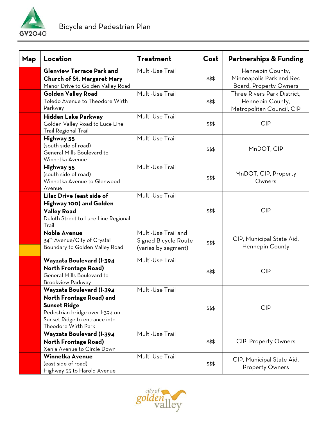

| <b>Map</b> | Location                                                                                                                                                               | <b>Treatment</b>                                                   | Cost   | <b>Partnerships &amp; Funding</b>                                             |
|------------|------------------------------------------------------------------------------------------------------------------------------------------------------------------------|--------------------------------------------------------------------|--------|-------------------------------------------------------------------------------|
|            | <b>Glenview Terrace Park and</b><br><b>Church of St. Margaret Mary</b><br>Manor Drive to Golden Valley Road                                                            | Multi-Use Trail                                                    | \$\$\$ | Hennepin County,<br>Minneapolis Park and Rec<br><b>Board, Property Owners</b> |
|            | <b>Golden Valley Road</b><br>Toledo Avenue to Theodore Wirth<br>Parkway                                                                                                | Multi-Use Trail                                                    | \$\$\$ | Three Rivers Park District,<br>Hennepin County,<br>Metropolitan Council, CIP  |
|            | Hidden Lake Parkway<br>Golden Valley Road to Luce Line<br><b>Trail Regional Trail</b>                                                                                  | Multi-Use Trail                                                    | \$\$\$ | <b>CIP</b>                                                                    |
|            | Highway 55<br>(south side of road)<br>General Mills Boulevard to<br>Winnetka Avenue                                                                                    | Multi-Use Trail                                                    | \$\$\$ | MnDOT, CIP                                                                    |
|            | Highway 55<br>(south side of road)<br>Winnetka Avenue to Glenwood<br>Avenue                                                                                            | Multi-Use Trail                                                    | \$\$\$ | MnDOT, CIP, Property<br>Owners                                                |
|            | Lilac Drive (east side of<br>Highway 100) and Golden<br><b>Valley Road</b><br>Duluth Street to Luce Line Regional<br>Trail                                             | Multi-Use Trail                                                    | \$\$\$ | <b>CIP</b>                                                                    |
|            | <b>Noble Avenue</b><br>34 <sup>th</sup> Avenue/City of Crystal<br>Boundary to Golden Valley Road                                                                       | Multi-Use Trail and<br>Signed Bicycle Route<br>(varies by segment) | \$\$\$ | CIP, Municipal State Aid,<br>Hennepin County                                  |
|            | Wayzata Boulevard (I-394<br><b>North Frontage Road)</b><br>General Mills Boulevard to<br><b>Brookview Parkway</b>                                                      | Multi-Use Trail                                                    | \$\$\$ | <b>CIP</b>                                                                    |
|            | Wayzata Boulevard (I-394<br>North Frontage Road) and<br><b>Sunset Ridge</b><br>Pedestrian bridge over I-394 on<br>Sunset Ridge to entrance into<br>Theodore Wirth Park | Multi-Use Trail                                                    | \$\$\$ | <b>CIP</b>                                                                    |
|            | Wayzata Boulevard (I-394<br><b>North Frontage Road)</b><br>Xenia Avenue to Circle Down                                                                                 | Multi-Use Trail                                                    | \$\$\$ | <b>CIP, Property Owners</b>                                                   |
|            | Winnetka Avenue<br>(east side of road)<br>Highway 55 to Harold Avenue                                                                                                  | Multi-Use Trail                                                    | \$\$\$ | CIP, Municipal State Aid,<br><b>Property Owners</b>                           |

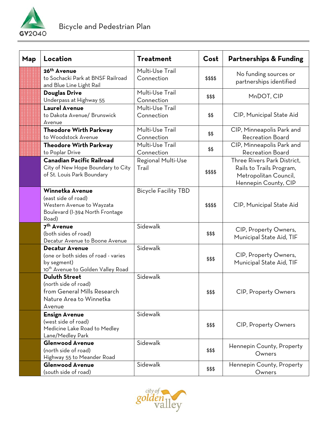

| Map | Location                                                                                                                     | <b>Treatment</b>              | Cost     | <b>Partnerships &amp; Funding</b>                                                                        |
|-----|------------------------------------------------------------------------------------------------------------------------------|-------------------------------|----------|----------------------------------------------------------------------------------------------------------|
|     | 26 <sup>th</sup> Avenue<br>to Sochacki Park at BNSF Railroad<br>and Blue Line Light Rail                                     | Multi-Use Trail<br>Connection | \$\$\$\$ | No funding sources or<br>partnerships identified                                                         |
|     | <b>Douglas Drive</b><br>Underpass at Highway 55                                                                              | Multi-Use Trail<br>Connection | \$\$\$   | MnDOT, CIP                                                                                               |
|     | <b>Laurel Avenue</b><br>to Dakota Avenue/ Brunswick<br>Avenue                                                                | Multi-Use Trail<br>Connection | \$\$     | CIP, Municipal State Aid                                                                                 |
|     | <b>Theodore Wirth Parkway</b><br>to Woodstock Avenue                                                                         | Multi-Use Trail<br>Connection | \$\$     | CIP, Minneapolis Park and<br><b>Recreation Board</b>                                                     |
|     | <b>Theodore Wirth Parkway</b><br>to Poplar Drive                                                                             | Multi-Use Trail<br>Connection | \$\$     | CIP, Minneapolis Park and<br><b>Recreation Board</b>                                                     |
|     | <b>Canadian Pacific Railroad</b><br>City of New Hope Boundary to City<br>of St. Louis Park Boundary                          | Regional Multi-Use<br>Trail   | \$\$\$\$ | Three Rivers Park District.<br>Rails to Trails Program,<br>Metropolitan Council,<br>Hennepin County, CIP |
|     | Winnetka Avenue<br>(east side of road)<br>Western Avenue to Wayzata<br>Boulevard (I-394 North Frontage<br>Road)              | <b>Bicycle Facility TBD</b>   | \$\$\$\$ | CIP, Municipal State Aid                                                                                 |
|     | 7 <sup>th</sup> Avenue<br>(both sides of road)<br>Decatur Avenue to Boone Avenue                                             | Sidewalk                      | \$\$\$   | CIP, Property Owners,<br>Municipal State Aid, TIF                                                        |
|     | <b>Decatur Avenue</b><br>(one or both sides of road - varies<br>by segment)<br>10 <sup>th</sup> Avenue to Golden Valley Road | Sidewalk                      | \$\$\$   | CIP, Property Owners,<br>Municipal State Aid, TIF                                                        |
|     | <b>Duluth Street</b><br>(north side of road)<br>from General Mills Research<br>Nature Area to Winnetka<br>Avenue             | Sidewalk                      | \$\$\$   | <b>CIP, Property Owners</b>                                                                              |
|     | <b>Ensign Avenue</b><br>(west side of road)<br>Medicine Lake Road to Medley<br>Lane/Medley Park                              | Sidewalk                      | \$\$\$   | <b>CIP, Property Owners</b>                                                                              |
|     | <b>Glenwood Avenue</b><br>(north side of road)<br>Highway 55 to Meander Road                                                 | Sidewalk                      | \$\$\$   | Hennepin County, Property<br>Owners                                                                      |
|     | <b>Glenwood Avenue</b><br>(south side of road)                                                                               | Sidewalk                      | \$\$\$   | Hennepin County, Property<br>Owners                                                                      |

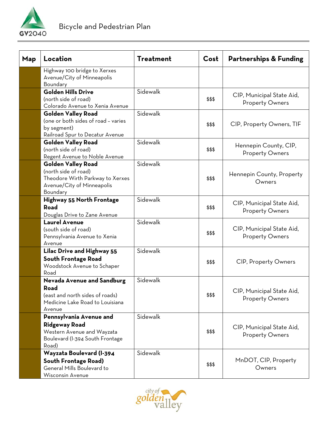

| Map | Location                                                                                                                        | <b>Treatment</b> | Cost   | <b>Partnerships &amp; Funding</b>                   |
|-----|---------------------------------------------------------------------------------------------------------------------------------|------------------|--------|-----------------------------------------------------|
|     | Highway 100 bridge to Xerxes<br>Avenue/City of Minneapolis<br>Boundary                                                          |                  |        |                                                     |
|     | <b>Golden Hills Drive</b><br>(north side of road)<br>Colorado Avenue to Xenia Avenue                                            | Sidewalk         | \$\$\$ | CIP, Municipal State Aid,<br><b>Property Owners</b> |
|     | <b>Golden Valley Road</b><br>(one or both sides of road - varies<br>by segment)<br>Railroad Spur to Decatur Avenue              | Sidewalk         | \$\$\$ | CIP, Property Owners, TIF                           |
|     | <b>Golden Valley Road</b><br>(north side of road)<br>Regent Avenue to Noble Avenue                                              | Sidewalk         | \$\$\$ | Hennepin County, CIP,<br><b>Property Owners</b>     |
|     | <b>Golden Valley Road</b><br>(north side of road)<br>Theodore Wirth Parkway to Xerxes<br>Avenue/City of Minneapolis<br>Boundary | Sidewalk         | \$\$\$ | Hennepin County, Property<br>Owners                 |
|     | Highway 55 North Frontage<br>Road<br>Douglas Drive to Zane Avenue                                                               | Sidewalk         | \$\$\$ | CIP, Municipal State Aid,<br><b>Property Owners</b> |
|     | <b>Laurel Avenue</b><br>(south side of road)<br>Pennsylvania Avenue to Xenia<br>Avenue                                          | Sidewalk         | \$\$\$ | CIP, Municipal State Aid,<br><b>Property Owners</b> |
|     | <b>Lilac Drive and Highway 55</b><br><b>South Frontage Road</b><br>Woodstock Avenue to Schaper<br>Road                          | Sidewalk         | \$\$\$ | <b>CIP, Property Owners</b>                         |
|     | <b>Nevada Avenue and Sandburg</b><br>Road<br>(east and north sides of roads)<br>Medicine Lake Road to Louisiana<br>Avenue       | Sidewalk         | \$\$\$ | CIP, Municipal State Aid,<br><b>Property Owners</b> |
|     | Pennsylvania Avenue and<br><b>Ridgeway Road</b><br>Western Avenue and Wayzata<br>Boulevard (I-394 South Frontage<br>Road)       | Sidewalk         | \$\$\$ | CIP, Municipal State Aid,<br><b>Property Owners</b> |
|     | Wayzata Boulevard (I-394<br><b>South Frontage Road)</b><br>General Mills Boulevard to<br>Wisconsin Avenue                       | Sidewalk         | \$\$\$ | MnDOT, CIP, Property<br>Owners                      |

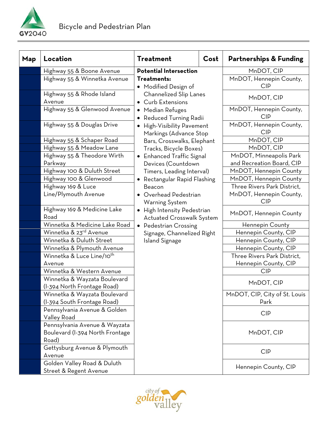

| Map | Location                                                                  | <b>Treatment</b>                                                           | Cost | <b>Partnerships &amp; Funding</b>     |
|-----|---------------------------------------------------------------------------|----------------------------------------------------------------------------|------|---------------------------------------|
|     | Highway 55 & Boone Avenue                                                 | <b>Potential Intersection</b>                                              |      | MnDOT, CIP                            |
|     | Highway 55 & Winnetka Avenue                                              | Treatments:<br>• Modified Design of                                        |      | MnDOT, Hennepin County,<br><b>CIP</b> |
|     | Highway 55 & Rhode Island<br>Avenue                                       | Channelized Slip Lanes<br><b>Curb Extensions</b><br>$\bullet$              |      | MnDOT, CIP                            |
|     | Highway 55 & Glenwood Avenue                                              | • Median Refuges<br>Reduced Turning Radii<br>٠                             |      | MnDOT, Hennepin County,<br><b>CIP</b> |
|     | Highway 55 & Douglas Drive                                                | High-Visibility Pavement<br>$\bullet$<br>Markings (Advance Stop            |      | MnDOT, Hennepin County,<br><b>CIP</b> |
|     | Highway 55 & Schaper Road                                                 | Bars, Crosswalks, Elephant                                                 |      | MnDOT, CIP                            |
|     | Highway 55 & Meadow Lane                                                  | Tracks, Bicycle Boxes)                                                     |      | MnDOT, CIP                            |
|     | Highway 55 & Theodore Wirth                                               | <b>Enhanced Traffic Signal</b><br>$\bullet$                                |      | MnDOT, Minneapolis Park               |
|     | Parkway                                                                   | Devices (Countdown                                                         |      | and Recreation Board, CIP             |
|     | Highway 100 & Duluth Street                                               | Timers, Leading Interval)                                                  |      | MnDOT, Hennepin County                |
|     | Highway 100 & Glenwood                                                    | Rectangular Rapid Flashing<br>$\bullet$                                    |      | MnDOT, Hennepin County                |
|     | Highway 169 & Luce                                                        | Beacon                                                                     |      | Three Rivers Park District.           |
|     | Line/Plymouth Avenue                                                      | Overhead Pedestrian<br>Warning System                                      |      | MnDOT, Hennepin County,<br><b>CIP</b> |
|     | Highway 169 & Medicine Lake<br>Road                                       | High Intensity Pedestrian<br>$\bullet$<br><b>Actuated Crosswalk System</b> |      | MnDOT, Hennepin County                |
|     | Winnetka & Medicine Lake Road                                             | Pedestrian Crossing<br>$\bullet$                                           |      | Hennepin County                       |
|     | Winnetka & 23 <sup>rd</sup> Avenue                                        | Signage, Channelized Right                                                 |      | Hennepin County, CIP                  |
|     | Winnetka & Duluth Street                                                  | <b>Island Signage</b>                                                      |      | Hennepin County, CIP                  |
|     | Winnetka & Plymouth Avenue                                                |                                                                            |      | Hennepin County, CIP                  |
|     | Winnetka & Luce Line/10 <sup>th</sup>                                     |                                                                            |      | Three Rivers Park District,           |
|     | Avenue                                                                    |                                                                            |      | Hennepin County, CIP                  |
|     | Winnetka & Western Avenue                                                 |                                                                            |      | <b>CIP</b>                            |
|     | Winnetka & Wayzata Boulevard<br>(I-394 North Frontage Road)               |                                                                            |      | MnDOT, CIP                            |
|     | Winnetka & Wayzata Boulevard                                              |                                                                            |      | MnDOT, CIP, City of St. Louis         |
|     | (I-394 South Frontage Road)                                               |                                                                            |      | Park                                  |
|     | Pennsylvania Avenue & Golden<br>Valley Road                               |                                                                            |      | <b>CIP</b>                            |
|     | Pennsylvania Avenue & Wayzata<br>Boulevard (I-394 North Frontage<br>Road) |                                                                            |      | MnDOT, CIP                            |
|     | Gettysburg Avenue & Plymouth<br>Avenue                                    |                                                                            |      | <b>CIP</b>                            |
|     | Golden Valley Road & Duluth<br>Street & Regent Avenue                     |                                                                            |      | Hennepin County, CIP                  |

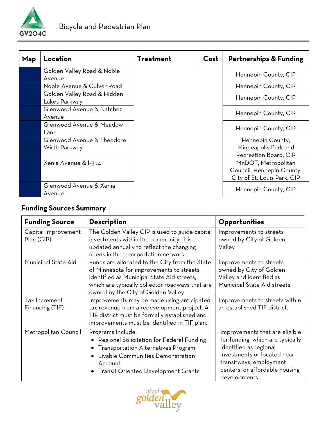

| Map | Location                                     | <b>Treatment</b> | Cost | <b>Partnerships &amp; Funding</b>                                               |
|-----|----------------------------------------------|------------------|------|---------------------------------------------------------------------------------|
|     | Golden Valley Road & Noble<br>Avenue         |                  |      | Hennepin County, CIP                                                            |
|     | Noble Avenue & Culver Road                   |                  |      | Hennepin County, CIP                                                            |
|     | Golden Valley Road & Hidden<br>Lakes Parkway |                  |      | Hennepin County, CIP                                                            |
|     | Glenwood Avenue & Natchez<br>Avenue          |                  |      | Hennepin County, CIP                                                            |
|     | Glenwood Avenue & Meadow<br>Lane             |                  |      | Hennepin County, CIP                                                            |
|     | Glenwood Avenue & Theodore<br>Wirth Parkway  |                  |      | Hennepin County,<br>Minneapolis Park and<br>Recreation Board, CIP               |
|     | Xenia Avenue & I-394                         |                  |      | MnDOT, Metropolitan<br>Council, Hennepin County,<br>City of St. Louis Park, CIP |
|     | Glenwood Avenue & Xenia<br>Avenue            |                  |      | Hennepin County, CIP                                                            |

## **Funding Sources Summary**

| <b>Funding Source</b>             | <b>Description</b>                                                                                                                                                                                                                 | Opportunities                                                                                                                                                                                             |
|-----------------------------------|------------------------------------------------------------------------------------------------------------------------------------------------------------------------------------------------------------------------------------|-----------------------------------------------------------------------------------------------------------------------------------------------------------------------------------------------------------|
| Capital Improvement<br>Plan (CIP) | The Golden Valley CIP is used to guide capital<br>investments within the community. It is<br>updated annually to reflect the changing<br>needs in the transportation network.                                                      | Improvements to streets<br>owned by City of Golden<br>Valley                                                                                                                                              |
| Municipal State Aid               | Funds are allocated to the City from the State<br>of Minnesota for improvements to streets<br>identified as Municipal State Aid streets,<br>which are typically collector roadways that are<br>owned by the City of Golden Valley. | Improvements to streets<br>owned by City of Golden<br>Valley and identified as<br>Municipal State Aid streets.                                                                                            |
| Tax Increment<br>Financing (TIF)  | Improvements may be made using anticipated<br>tax revenue from a redevelopment project. A<br>TIF district must be formally established and<br>improvements must be identified in TIF plan.                                         | Improvements to streets within<br>an established TIF district.                                                                                                                                            |
| Metropolitan Council              | Programs Include:<br>Regional Solicitation for Federal Funding<br><b>Transportation Alternatives Program</b><br>Livable Communities Demonstration<br>Account<br><b>Transit Oriented Development Grants</b>                         | Improvements that are eligible<br>for funding, which are typically<br>identified as regional<br>investments or located near<br>transitways, employment<br>centers, or affordable housing<br>developments. |